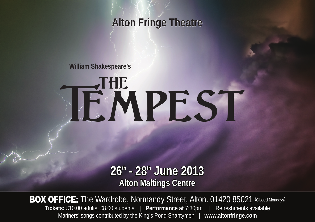### **Alton Fringe Theatre**

**William Shakespeare's**

# **TEMPEST**

**26th - 28th June 2013 Alton Maltings Centre**

**BOX OFFICE:** The Wardrobe, Normandy Street, Alton. 01420 85021 (Closed Mondays) **Tickets:** £10.00 adults, £8.00 students | **Performance at** 7:30pm **|** Refreshments available Mariners' songs contributed by the King's Pond Shantymen | **www.altonfringe.com**